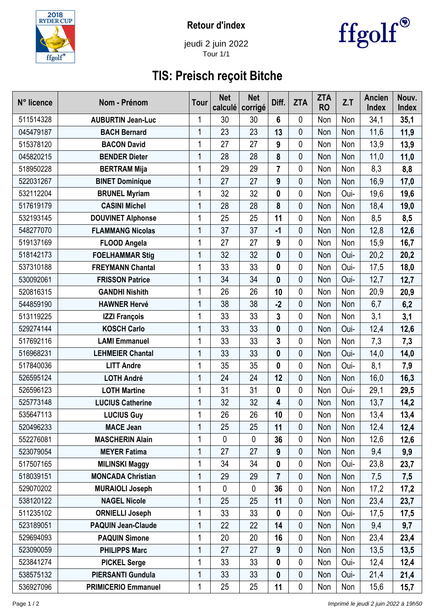

**Retour d'index**



jeudi 2 juin 2022 Tour 1/1

## **TIS: Preisch reçoit Bitche**

| N° licence | Nom - Prénom               | <b>Tour</b>  | <b>Net</b><br>calculé | <b>Net</b><br>corrigé | Diff.                   | <b>ZTA</b>  | <b>ZTA</b><br><b>RO</b> | Z.T  | <b>Ancien</b><br><b>Index</b> | Nouv.<br>Index |
|------------|----------------------------|--------------|-----------------------|-----------------------|-------------------------|-------------|-------------------------|------|-------------------------------|----------------|
| 511514328  | <b>AUBURTIN Jean-Luc</b>   | 1            | 30                    | 30                    | 6                       | 0           | Non                     | Non  | 34,1                          | 35,1           |
| 045479187  | <b>BACH Bernard</b>        | 1            | 23                    | 23                    | 13                      | 0           | Non                     | Non  | 11,6                          | 11,9           |
| 515378120  | <b>BACON David</b>         | 1            | 27                    | 27                    | 9                       | 0           | Non                     | Non  | 13,9                          | 13,9           |
| 045820215  | <b>BENDER Dieter</b>       | $\mathbf 1$  | 28                    | 28                    | 8                       | $\mathbf 0$ | Non                     | Non  | 11,0                          | 11,0           |
| 518950228  | <b>BERTRAM Mija</b>        | 1            | 29                    | 29                    | $\overline{7}$          | 0           | Non                     | Non  | 8,3                           | 8,8            |
| 522031267  | <b>BINET Dominique</b>     | 1            | 27                    | 27                    | 9                       | 0           | Non                     | Non  | 16,9                          | 17,0           |
| 532112204  | <b>BRUNEL Myriam</b>       | 1            | 32                    | 32                    | 0                       | 0           | Non                     | Oui- | 19,6                          | 19,6           |
| 517619179  | <b>CASINI Michel</b>       | 1            | 28                    | 28                    | 8                       | 0           | Non                     | Non  | 18,4                          | 19,0           |
| 532193145  | <b>DOUVINET Alphonse</b>   | 1            | 25                    | 25                    | 11                      | 0           | Non                     | Non  | 8,5                           | 8,5            |
| 548277070  | <b>FLAMMANG Nicolas</b>    | 1            | 37                    | 37                    | $-1$                    | 0           | Non                     | Non  | 12,8                          | 12,6           |
| 519137169  | <b>FLOOD Angela</b>        | 1            | 27                    | 27                    | 9                       | 0           | Non                     | Non  | 15,9                          | 16,7           |
| 518142173  | <b>FOELHAMMAR Stig</b>     | 1            | 32                    | 32                    | $\mathbf 0$             | 0           | Non                     | Oui- | 20,2                          | 20,2           |
| 537310188  | <b>FREYMANN Chantal</b>    | 1            | 33                    | 33                    | 0                       | 0           | Non                     | Oui- | 17,5                          | 18,0           |
| 530092061  | <b>FRISSON Patrice</b>     | 1            | 34                    | 34                    | 0                       | 0           | Non                     | Oui- | 12,7                          | 12,7           |
| 520816315  | <b>GANDHI Nishith</b>      | $\mathbf{1}$ | 26                    | 26                    | 10                      | 0           | Non                     | Non  | 20,9                          | 20,9           |
| 544859190  | <b>HAWNER Hervé</b>        | $\mathbf{1}$ | 38                    | 38                    | $-2$                    | 0           | Non                     | Non  | 6,7                           | 6,2            |
| 513119225  | <b>IZZI François</b>       | 1            | 33                    | 33                    | 3                       | 0           | Non                     | Non  | 3,1                           | 3,1            |
| 529274144  | <b>KOSCH Carlo</b>         | 1            | 33                    | 33                    | 0                       | 0           | Non                     | Oui- | 12,4                          | 12,6           |
| 517692116  | <b>LAMI Emmanuel</b>       | 1            | 33                    | 33                    | $\overline{\mathbf{3}}$ | 0           | Non                     | Non  | 7,3                           | 7,3            |
| 516968231  | <b>LEHMEIER Chantal</b>    | $\mathbf 1$  | 33                    | 33                    | $\mathbf{0}$            | $\mathbf 0$ | Non                     | Oui- | 14,0                          | 14,0           |
| 517840036  | <b>LITT Andre</b>          | 1            | 35                    | 35                    | 0                       | 0           | Non                     | Oui- | 8,1                           | 7,9            |
| 526595124  | <b>LOTH André</b>          | 1            | 24                    | 24                    | 12                      | 0           | Non                     | Non  | 16,0                          | 16,3           |
| 526596123  | <b>LOTH Martine</b>        | 1            | 31                    | 31                    | 0                       | 0           | Non                     | Oui- | 29,1                          | 29,5           |
| 525773148  | <b>LUCIUS Catherine</b>    | 1            | 32                    | 32                    | 4                       | 0           | Non                     | Non  | 13,7                          | 14,2           |
| 535647113  | <b>LUCIUS Guy</b>          | 1            | 26                    | 26                    | 10                      | 0           | Non                     | Non  | 13,4                          | 13,4           |
| 520496233  | <b>MACE Jean</b>           | 1            | 25                    | 25                    | 11                      | 0           | Non                     | Non  | 12,4                          | 12,4           |
| 552276081  | <b>MASCHERIN Alain</b>     | 1            | 0                     | 0                     | 36                      | 0           | Non                     | Non  | 12,6                          | 12,6           |
| 523079054  | <b>MEYER Fatima</b>        | 1            | 27                    | 27                    | 9                       | 0           | Non                     | Non  | 9,4                           | 9,9            |
| 517507165  | <b>MILINSKI Maggy</b>      | 1            | 34                    | 34                    | 0                       | 0           | Non                     | Oui- | 23,8                          | 23,7           |
| 518039151  | <b>MONCADA Christian</b>   | 1            | 29                    | 29                    | $\overline{7}$          | 0           | Non                     | Non  | 7,5                           | 7,5            |
| 529070202  | <b>MURAIOLI Joseph</b>     | 1            | $\mathbf 0$           | $\mathbf 0$           | 36                      | 0           | Non                     | Non  | 17,2                          | 17,2           |
| 538120122  | <b>NAGEL Nicole</b>        | $\mathbf 1$  | 25                    | 25                    | 11                      | 0           | Non                     | Non  | 23,4                          | 23,7           |
| 511235102  | <b>ORNIELLI Joseph</b>     | 1            | 33                    | 33                    | 0                       | 0           | Non                     | Oui- | 17,5                          | 17,5           |
| 523189051  | <b>PAQUIN Jean-Claude</b>  | 1            | 22                    | 22                    | 14                      | 0           | Non                     | Non  | 9,4                           | 9,7            |
| 529694093  | <b>PAQUIN Simone</b>       | 1            | 20                    | 20                    | 16                      | 0           | Non                     | Non  | 23,4                          | 23,4           |
| 523090059  | <b>PHILIPPS Marc</b>       | 1            | 27                    | 27                    | $\boldsymbol{9}$        | $\mathbf 0$ | Non                     | Non  | 13,5                          | 13,5           |
| 523841274  | <b>PICKEL Serge</b>        | 1            | 33                    | 33                    | 0                       | 0           | Non                     | Oui- | 12,4                          | 12,4           |
| 538575132  | <b>PIERSANTI Gundula</b>   | 1            | 33                    | 33                    | 0                       | 0           | Non                     | Oui- | 21,4                          | 21,4           |
| 536927096  | <b>PRIMICERIO Emmanuel</b> | 1            | 25                    | 25                    | 11                      | $\mathbf 0$ | Non                     | Non  | 15,6                          | 15,7           |